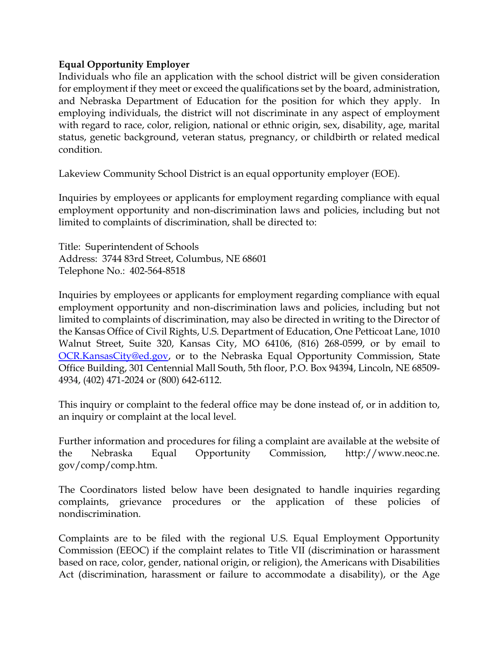## **Equal Opportunity Employer**

Individuals who file an application with the school district will be given consideration for employment if they meet or exceed the qualifications set by the board, administration, and Nebraska Department of Education for the position for which they apply. In employing individuals, the district will not discriminate in any aspect of employment with regard to race, color, religion, national or ethnic origin, sex, disability, age, marital status, genetic background, veteran status, pregnancy, or childbirth or related medical condition.

Lakeview Community School District is an equal opportunity employer (EOE).

Inquiries by employees or applicants for employment regarding compliance with equal employment opportunity and non-discrimination laws and policies, including but not limited to complaints of discrimination, shall be directed to:

Title: Superintendent of Schools Address: 3744 83rd Street, Columbus, NE 68601 Telephone No.: 402-564-8518

Inquiries by employees or applicants for employment regarding compliance with equal employment opportunity and non-discrimination laws and policies, including but not limited to complaints of discrimination, may also be directed in writing to the Director of the Kansas Office of Civil Rights, U.S. Department of Education, One Petticoat Lane, 1010 Walnut Street, Suite 320, Kansas City, MO 64106, (816) 268-0599, or by email to [OCR.KansasCity@ed.gov,](mailto:OCR.KansasCity@ed.gov) or to the Nebraska Equal Opportunity Commission, State Office Building, 301 Centennial Mall South, 5th floor, P.O. Box 94394, Lincoln, NE 68509- 4934, (402) 471-2024 or (800) 642-6112.

This inquiry or complaint to the federal office may be done instead of, or in addition to, an inquiry or complaint at the local level.

Further information and procedures for filing a complaint are available at the website of the Nebraska Equal Opportunity Commission, http://www.neoc.ne. gov/comp/comp.htm.

The Coordinators listed below have been designated to handle inquiries regarding complaints, grievance procedures or the application of these policies of nondiscrimination.

Complaints are to be filed with the regional U.S. Equal Employment Opportunity Commission (EEOC) if the complaint relates to Title VII (discrimination or harassment based on race, color, gender, national origin, or religion), the Americans with Disabilities Act (discrimination, harassment or failure to accommodate a disability), or the Age